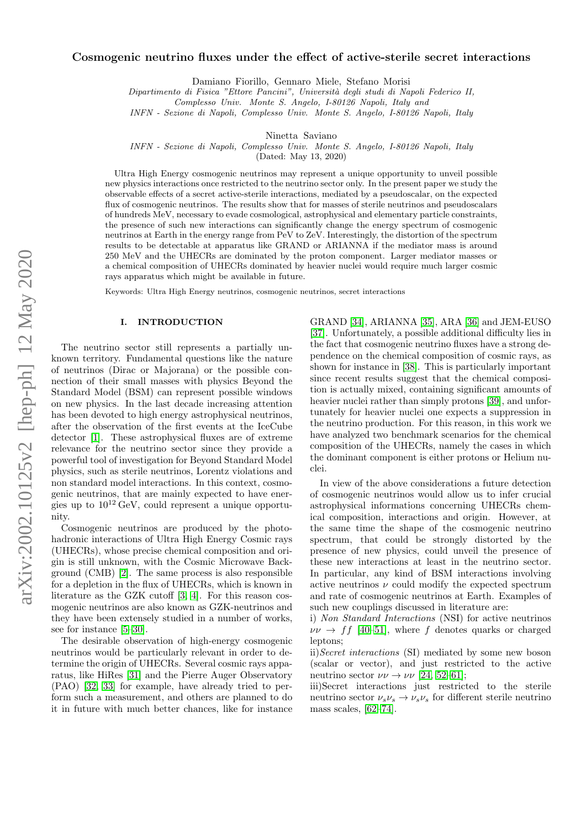# arXiv:2002.10125v2 [hep-ph] 12 May 2020 arXiv:2002.10125v2 [hep-ph] 12 May 2020

# Cosmogenic neutrino fluxes under the effect of active-sterile secret interactions

Damiano Fiorillo, Gennaro Miele, Stefano Morisi

Dipartimento di Fisica "Ettore Pancini", Università degli studi di Napoli Federico II,

Complesso Univ. Monte S. Angelo, I-80126 Napoli, Italy and

INFN - Sezione di Napoli, Complesso Univ. Monte S. Angelo, I-80126 Napoli, Italy

Ninetta Saviano

INFN - Sezione di Napoli, Complesso Univ. Monte S. Angelo, I-80126 Napoli, Italy

(Dated: May 13, 2020)

Ultra High Energy cosmogenic neutrinos may represent a unique opportunity to unveil possible new physics interactions once restricted to the neutrino sector only. In the present paper we study the observable effects of a secret active-sterile interactions, mediated by a pseudoscalar, on the expected flux of cosmogenic neutrinos. The results show that for masses of sterile neutrinos and pseudoscalars of hundreds MeV, necessary to evade cosmological, astrophysical and elementary particle constraints, the presence of such new interactions can significantly change the energy spectrum of cosmogenic neutrinos at Earth in the energy range from PeV to ZeV. Interestingly, the distortion of the spectrum results to be detectable at apparatus like GRAND or ARIANNA if the mediator mass is around 250 MeV and the UHECRs are dominated by the proton component. Larger mediator masses or a chemical composition of UHECRs dominated by heavier nuclei would require much larger cosmic rays apparatus which might be available in future.

Keywords: Ultra High Energy neutrinos, cosmogenic neutrinos, secret interactions

## I. INTRODUCTION

The neutrino sector still represents a partially unknown territory. Fundamental questions like the nature of neutrinos (Dirac or Majorana) or the possible connection of their small masses with physics Beyond the Standard Model (BSM) can represent possible windows on new physics. In the last decade increasing attention has been devoted to high energy astrophysical neutrinos, after the observation of the first events at the IceCube detector [\[1\]](#page-7-0). These astrophysical fluxes are of extreme relevance for the neutrino sector since they provide a powerful tool of investigation for Beyond Standard Model physics, such as sterile neutrinos, Lorentz violations and non standard model interactions. In this context, cosmogenic neutrinos, that are mainly expected to have energies up to  $10^{12}$  GeV, could represent a unique opportunity.

Cosmogenic neutrinos are produced by the photohadronic interactions of Ultra High Energy Cosmic rays (UHECRs), whose precise chemical composition and origin is still unknown, with the Cosmic Microwave Background (CMB) [\[2\]](#page-7-1). The same process is also responsible for a depletion in the flux of UHECRs, which is known in literature as the GZK cutoff [\[3,](#page-7-2) [4\]](#page-7-3). For this reason cosmogenic neutrinos are also known as GZK-neutrinos and they have been extensely studied in a number of works, see for instance [\[5–](#page-7-4)[30\]](#page-8-0).

The desirable observation of high-energy cosmogenic neutrinos would be particularly relevant in order to determine the origin of UHECRs. Several cosmic rays apparatus, like HiRes [\[31\]](#page-8-1) and the Pierre Auger Observatory (PAO) [\[32,](#page-8-2) [33\]](#page-8-3) for example, have already tried to perform such a measurement, and others are planned to do it in future with much better chances, like for instance

GRAND [\[34\]](#page-8-4), ARIANNA [\[35\]](#page-8-5), ARA [\[36\]](#page-8-6) and JEM-EUSO [\[37\]](#page-8-7). Unfortunately, a possible additional difficulty lies in the fact that cosmogenic neutrino fluxes have a strong dependence on the chemical composition of cosmic rays, as shown for instance in [\[38\]](#page-8-8). This is particularly important since recent results suggest that the chemical composition is actually mixed, containing significant amounts of heavier nuclei rather than simply protons [\[39\]](#page-8-9), and unfortunately for heavier nuclei one expects a suppression in the neutrino production. For this reason, in this work we have analyzed two benchmark scenarios for the chemical composition of the UHECRs, namely the cases in which the dominant component is either protons or Helium nuclei.

In view of the above considerations a future detection of cosmogenic neutrinos would allow us to infer crucial astrophysical informations concerning UHECRs chemical composition, interactions and origin. However, at the same time the shape of the cosmogenic neutrino spectrum, that could be strongly distorted by the presence of new physics, could unveil the presence of these new interactions at least in the neutrino sector. In particular, any kind of BSM interactions involving active neutrinos  $\nu$  could modify the expected spectrum and rate of cosmogenic neutrinos at Earth. Examples of such new couplings discussed in literature are:

i) Non Standard Interactions (NSI) for active neutrinos  $\nu\nu \rightarrow ff$  [\[40–](#page-8-10)[51\]](#page-8-11), where f denotes quarks or charged leptons;

ii)Secret interactions (SI) mediated by some new boson (scalar or vector), and just restricted to the active neutrino sector  $\nu\nu \rightarrow \nu\nu$  [\[24,](#page-8-12) [52–](#page-9-0)[61\]](#page-9-1);

iii)Secret interactions just restricted to the sterile neutrino sector  $\nu_s \nu_s \rightarrow \nu_s \nu_s$  for different sterile neutrino mass scales, [\[62–](#page-9-2)[74\]](#page-9-3).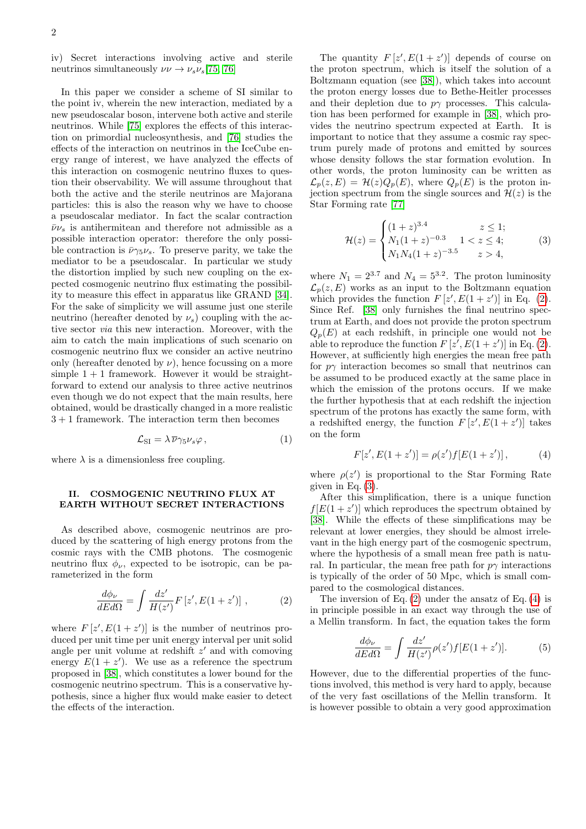iv) Secret interactions involving active and sterile neutrinos simultaneously  $\nu\nu \rightarrow \nu_s \nu_s [75, 76]$  $\nu\nu \rightarrow \nu_s \nu_s [75, 76]$  $\nu\nu \rightarrow \nu_s \nu_s [75, 76]$ 

In this paper we consider a scheme of SI similar to the point iv, wherein the new interaction, mediated by a new pseudoscalar boson, intervene both active and sterile neutrinos. While [\[75\]](#page-9-4) explores the effects of this interaction on primordial nucleosynthesis, and [\[76\]](#page-9-5) studies the effects of the interaction on neutrinos in the IceCube energy range of interest, we have analyzed the effects of this interaction on cosmogenic neutrino fluxes to question their observability. We will assume throughout that both the active and the sterile neutrinos are Majorana particles: this is also the reason why we have to choose a pseudoscalar mediator. In fact the scalar contraction  $\bar{\nu}\nu_s$  is antihermitean and therefore not admissible as a possible interaction operator: therefore the only possible contraction is  $\bar{\nu}\gamma_5\nu_s$ . To preserve parity, we take the mediator to be a pseudoscalar. In particular we study the distortion implied by such new coupling on the expected cosmogenic neutrino flux estimating the possibility to measure this effect in apparatus like GRAND [\[34\]](#page-8-4). For the sake of simplicity we will assume just one sterile neutrino (hereafter denoted by  $\nu_s$ ) coupling with the active sector via this new interaction. Moreover, with the aim to catch the main implications of such scenario on cosmogenic neutrino flux we consider an active neutrino only (hereafter denoted by  $\nu$ ), hence focussing on a more simple  $1 + 1$  framework. However it would be straightforward to extend our analysis to three active neutrinos even though we do not expect that the main results, here obtained, would be drastically changed in a more realistic  $3 + 1$  framework. The interaction term then becomes

<span id="page-1-3"></span>
$$
\mathcal{L}_{\text{SI}} = \lambda \, \overline{\nu} \gamma_5 \nu_s \varphi \,, \tag{1}
$$

where  $\lambda$  is a dimensionless free coupling.

# II. COSMOGENIC NEUTRINO FLUX AT EARTH WITHOUT SECRET INTERACTIONS

As described above, cosmogenic neutrinos are produced by the scattering of high energy protons from the cosmic rays with the CMB photons. The cosmogenic neutrino flux  $\phi_{\nu}$ , expected to be isotropic, can be parameterized in the form

<span id="page-1-0"></span>
$$
\frac{d\phi_{\nu}}{dEd\Omega} = \int \frac{dz'}{H(z')} F\left[z', E(1+z')\right] ,\qquad (2)
$$

where  $F[z', E(1 + z')]$  is the number of neutrinos produced per unit time per unit energy interval per unit solid angle per unit volume at redshift  $z'$  and with comoving energy  $E(1 + z')$ . We use as a reference the spectrum proposed in [\[38\]](#page-8-8), which constitutes a lower bound for the cosmogenic neutrino spectrum. This is a conservative hypothesis, since a higher flux would make easier to detect the effects of the interaction.

The quantity  $F[z', E(1 + z')]$  depends of course on the proton spectrum, which is itself the solution of a Boltzmann equation (see [\[38\]](#page-8-8)), which takes into account the proton energy losses due to Bethe-Heitler processes and their depletion due to  $p\gamma$  processes. This calculation has been performed for example in [\[38\]](#page-8-8), which provides the neutrino spectrum expected at Earth. It is important to notice that they assume a cosmic ray spectrum purely made of protons and emitted by sources whose density follows the star formation evolution. In other words, the proton luminosity can be written as  $\mathcal{L}_p(z,E) = \mathcal{H}(z)Q_p(E)$ , where  $Q_p(E)$  is the proton injection spectrum from the single sources and  $\mathcal{H}(z)$  is the Star Forming rate [\[77\]](#page-9-6)

<span id="page-1-1"></span>
$$
\mathcal{H}(z) = \begin{cases}\n(1+z)^{3.4} & z \le 1; \\
N_1(1+z)^{-0.3} & 1 < z \le 4; \\
N_1 N_4 (1+z)^{-3.5} & z > 4,\n\end{cases}
$$
\n(3)

where  $N_1 = 2^{3.7}$  and  $N_4 = 5^{3.2}$ . The proton luminosity  $\mathcal{L}_n(z, E)$  works as an input to the Boltzmann equation which provides the function  $F[z', E(1 + z')]$  in Eq. [\(2\)](#page-1-0). Since Ref. [\[38\]](#page-8-8) only furnishes the final neutrino spectrum at Earth, and does not provide the proton spectrum  $Q_p(E)$  at each redshift, in principle one would not be able to reproduce the function  $F[z', E(1 + z')]$  in Eq. [\(2\)](#page-1-0). However, at sufficiently high energies the mean free path for  $p\gamma$  interaction becomes so small that neutrinos can be assumed to be produced exactly at the same place in which the emission of the protons occurs. If we make the further hypothesis that at each redshift the injection spectrum of the protons has exactly the same form, with a redshifted energy, the function  $F[z', E(1 + z')]$  takes on the form

<span id="page-1-2"></span>
$$
F[z', E(1 + z')] = \rho(z')f[E(1 + z')], \tag{4}
$$

where  $\rho(z')$  is proportional to the Star Forming Rate given in Eq.  $(3)$ .

After this simplification, there is a unique function  $f[E(1+z')]$  which reproduces the spectrum obtained by [\[38\]](#page-8-8). While the effects of these simplifications may be relevant at lower energies, they should be almost irrelevant in the high energy part of the cosmogenic spectrum, where the hypothesis of a small mean free path is natural. In particular, the mean free path for  $p\gamma$  interactions is typically of the order of 50 Mpc, which is small compared to the cosmological distances.

The inversion of Eq.  $(2)$  under the ansatz of Eq.  $(4)$  is in principle possible in an exact way through the use of a Mellin transform. In fact, the equation takes the form

$$
\frac{d\phi_{\nu}}{dEd\Omega} = \int \frac{dz'}{H(z')} \rho(z')f[E(1+z')]. \tag{5}
$$

However, due to the differential properties of the functions involved, this method is very hard to apply, because of the very fast oscillations of the Mellin transform. It is however possible to obtain a very good approximation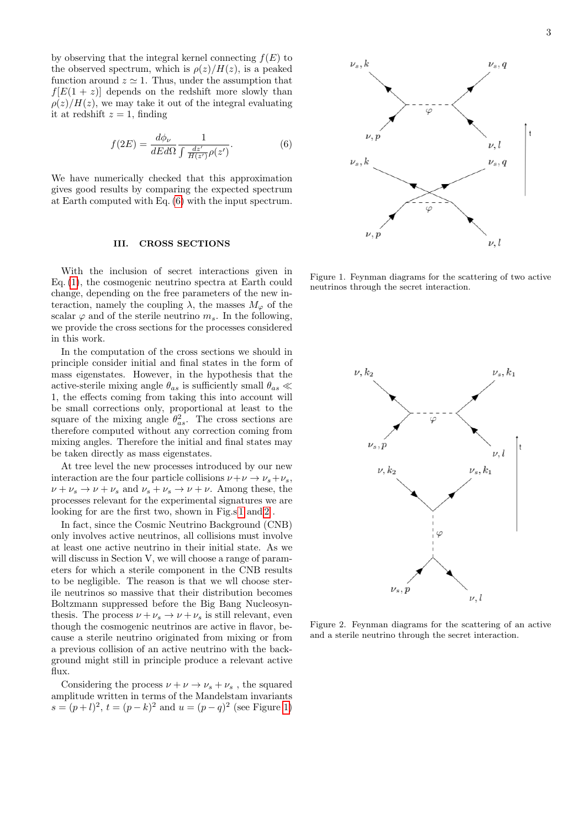by observing that the integral kernel connecting  $f(E)$  to the observed spectrum, which is  $\rho(z)/H(z)$ , is a peaked function around  $z \approx 1$ . Thus, under the assumption that  $f[E(1 + z)]$  depends on the redshift more slowly than  $\rho(z)/H(z)$ , we may take it out of the integral evaluating it at redshift  $z = 1$ , finding

<span id="page-2-0"></span>
$$
f(2E) = \frac{d\phi_{\nu}}{dEd\Omega} \frac{1}{\int \frac{dz'}{H(z')} \rho(z')}.
$$
 (6)

We have numerically checked that this approximation gives good results by comparing the expected spectrum at Earth computed with Eq. [\(6\)](#page-2-0) with the input spectrum.

# III. CROSS SECTIONS

With the inclusion of secret interactions given in Eq. [\(1\)](#page-1-3), the cosmogenic neutrino spectra at Earth could change, depending on the free parameters of the new interaction, namely the coupling  $\lambda$ , the masses  $M_{\varphi}$  of the scalar  $\varphi$  and of the sterile neutrino  $m_s$ . In the following, we provide the cross sections for the processes considered in this work.

In the computation of the cross sections we should in principle consider initial and final states in the form of mass eigenstates. However, in the hypothesis that the active-sterile mixing angle  $\theta_{as}$  is sufficiently small  $\theta_{as} \ll$ 1, the effects coming from taking this into account will be small corrections only, proportional at least to the square of the mixing angle  $\theta_{as}^2$ . The cross sections are therefore computed without any correction coming from mixing angles. Therefore the initial and final states may be taken directly as mass eigenstates.

At tree level the new processes introduced by our new interaction are the four particle collisions  $\nu + \nu \rightarrow \nu_s + \nu_s$ ,  $\nu + \nu_s \rightarrow \nu + \nu_s$  and  $\nu_s + \nu_s \rightarrow \nu + \nu$ . Among these, the processes relevant for the experimental signatures we are looking for are the first two, shown in Fig.s [1](#page-2-1) and [2](#page-2-2) .

In fact, since the Cosmic Neutrino Background (CNB) only involves active neutrinos, all collisions must involve at least one active neutrino in their initial state. As we will discuss in Section V, we will choose a range of parameters for which a sterile component in the CNB results to be negligible. The reason is that we wll choose sterile neutrinos so massive that their distribution becomes Boltzmann suppressed before the Big Bang Nucleosynthesis. The process  $\nu + \nu_s \rightarrow \nu + \nu_s$  is still relevant, even though the cosmogenic neutrinos are active in flavor, because a sterile neutrino originated from mixing or from a previous collision of an active neutrino with the background might still in principle produce a relevant active flux.

Considering the process  $\nu + \nu \rightarrow \nu_s + \nu_s$ , the squared amplitude written in terms of the Mandelstam invariants  $s = (p+l)^2$ ,  $t = (p-k)^2$  and  $u = (p-q)^2$  (see Figure [1\)](#page-2-1)



<span id="page-2-1"></span>Figure 1. Feynman diagrams for the scattering of two active neutrinos through the secret interaction.



<span id="page-2-2"></span>Figure 2. Feynman diagrams for the scattering of an active and a sterile neutrino through the secret interaction.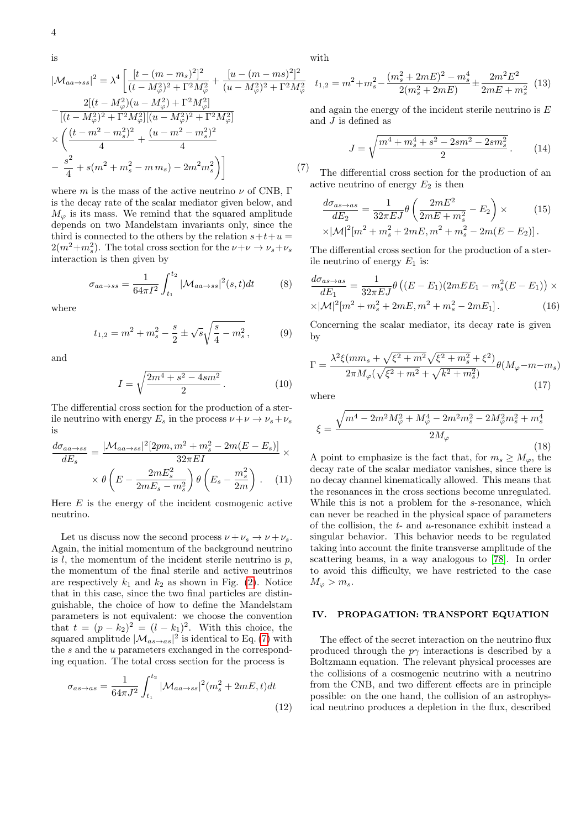is

<span id="page-3-0"></span>
$$
|\mathcal{M}_{aa \to ss}|^2 = \lambda^4 \left[ \frac{[t - (m - m_s)^2]^2}{(t - M_\varphi^2)^2 + \Gamma^2 M_\varphi^2} + \frac{[u - (m - ms)^2]^2}{(u - M_\varphi^2)^2 + \Gamma^2 M_\varphi^2} \right]
$$
  

$$
- \frac{2[(t - M_\varphi^2)(u - M_\varphi^2) + \Gamma^2 M_\varphi^2]}{[(t - M_\varphi^2)^2 + \Gamma^2 M_\varphi^2][(u - M_\varphi^2)^2 + \Gamma^2 M_\varphi^2]}
$$
  

$$
\times \left( \frac{(t - m^2 - m_s^2)^2}{4} + \frac{(u - m^2 - m_s^2)^2}{4} \right)
$$
  

$$
- \frac{s^2}{4} + s(m^2 + m_s^2 - m m_s) - 2m^2 m_s^2 \right)
$$
(7)

where m is the mass of the active neutrino  $\nu$  of CNB, Γ is the decay rate of the scalar mediator given below, and  $M_{\varphi}$  is its mass. We remind that the squared amplitude depends on two Mandelstam invariants only, since the third is connected to the others by the relation  $s+t+u =$  $2(m^2+m_s^2)$ . The total cross section for the  $\nu+\nu \rightarrow \nu_s+\nu_s$ interaction is then given by

<span id="page-3-1"></span>
$$
\sigma_{aa \to ss} = \frac{1}{64\pi I^2} \int_{t_1}^{t_2} |\mathcal{M}_{aa \to ss}|^2(s,t)dt \tag{8}
$$

where

$$
t_{1,2} = m^2 + m_s^2 - \frac{s}{2} \pm \sqrt{s} \sqrt{\frac{s}{4} - m_s^2},
$$
 (9)

and

$$
I = \sqrt{\frac{2m^4 + s^2 - 4sm^2}{2}}.
$$
 (10)

The differential cross section for the production of a sterile neutrino with energy  $E_s$  in the process  $\nu+\nu\to\nu_s+\nu_s$ is

$$
\frac{d\sigma_{aa \to ss}}{dE_s} = \frac{|\mathcal{M}_{aa \to ss}|^2 [2pm, m^2 + m_s^2 - 2m(E - E_s)]}{32\pi EI} \times \frac{\partial}{\partial E_s} \times \theta \left( E - \frac{2mE_s^2}{2mE_s - m_s^2} \right) \theta \left( E_s - \frac{m_s^2}{2m} \right) . \tag{11}
$$

Here  $E$  is the energy of the incident cosmogenic active neutrino.

Let us discuss now the second process  $\nu + \nu_s \rightarrow \nu + \nu_s$ . Again, the initial momentum of the background neutrino is  $l$ , the momentum of the incident sterile neutrino is  $p$ , the momentum of the final sterile and active neutrinos are respectively  $k_1$  and  $k_2$  as shown in Fig. [\(2\)](#page-2-2). Notice that in this case, since the two final particles are distinguishable, the choice of how to define the Mandelstam parameters is not equivalent: we choose the convention that  $t = (p - k_2)^2 = (l - k_1)^2$ . With this choice, the squared amplitude  $|\mathcal{M}_{as\to as}|^2$  is identical to Eq. [\(7\)](#page-3-0) with the s and the u parameters exchanged in the corresponding equation. The total cross section for the process is

<span id="page-3-2"></span>
$$
\sigma_{as \to as} = \frac{1}{64\pi J^2} \int_{t_1}^{t_2} |\mathcal{M}_{aa \to ss}|^2 (m_s^2 + 2mE, t) dt
$$
\n(12)

with

$$
t_{1,2} = m^2 + m_s^2 - \frac{(m_s^2 + 2mE)^2 - m_s^4}{2(m_s^2 + 2mE)} \pm \frac{2m^2E^2}{2mE + m_s^2}
$$
 (13)

and again the energy of the incident sterile neutrino is E and J is defined as

$$
J = \sqrt{\frac{m^4 + m_s^4 + s^2 - 2sm^2 - 2sm_s^2}{2}}.
$$
 (14)

The differential cross section for the production of an active neutrino of energy  $E_2$  is then

<span id="page-3-3"></span>
$$
\frac{d\sigma_{as \to as}}{dE_2} = \frac{1}{32\pi EJ} \theta \left( \frac{2mE^2}{2mE + m_s^2} - E_2 \right) \times \qquad (15)
$$

$$
\times |\mathcal{M}|^2 [m^2 + m_s^2 + 2mE, m^2 + m_s^2 - 2m(E - E_2)].
$$

The differential cross section for the production of a sterile neutrino of energy  $E_1$  is:

<span id="page-3-4"></span>
$$
\frac{d\sigma_{as \to as}}{dE_1} = \frac{1}{32\pi EJ} \theta \left( (E - E_1)(2mEE_1 - m_s^2(E - E_1)) \times \frac{|A|}{|m^2 + m_s^2 + 2mE, m^2 + m_s^2 - 2mE_1|} \right). \tag{16}
$$

Concerning the scalar mediator, its decay rate is given by

$$
\Gamma = \frac{\lambda^2 \xi (mm_s + \sqrt{\xi^2 + m^2} \sqrt{\xi^2 + m_s^2} + \xi^2)}{2\pi M_\varphi (\sqrt{\xi^2 + m^2} + \sqrt{k^2 + m_s^2})} \theta (M_\varphi - m - m_s)
$$
\n(17)

where

$$
\xi = \frac{\sqrt{m^4 - 2m^2 M_{\varphi}^2 + M_{\varphi}^4 - 2m^2 m_s^2 - 2M_{\varphi}^2 m_s^2 + m_s^4}}{2M_{\varphi}}
$$
\n(18)

A point to emphasize is the fact that, for  $m_s \geq M_{\varphi}$ , the decay rate of the scalar mediator vanishes, since there is no decay channel kinematically allowed. This means that the resonances in the cross sections become unregulated. While this is not a problem for the s-resonance, which can never be reached in the physical space of parameters of the collision, the  $t$ - and  $u$ -resonance exhibit instead a singular behavior. This behavior needs to be regulated taking into account the finite transverse amplitude of the scattering beams, in a way analogous to [\[78\]](#page-9-7). In order to avoid this difficulty, we have restricted to the case  $M_{\omega} > m_s$ .

# IV. PROPAGATION: TRANSPORT EQUATION

The effect of the secret interaction on the neutrino flux produced through the  $p\gamma$  interactions is described by a Boltzmann equation. The relevant physical processes are the collisions of a cosmogenic neutrino with a neutrino from the CNB, and two different effects are in principle possible: on the one hand, the collision of an astrophysical neutrino produces a depletion in the flux, described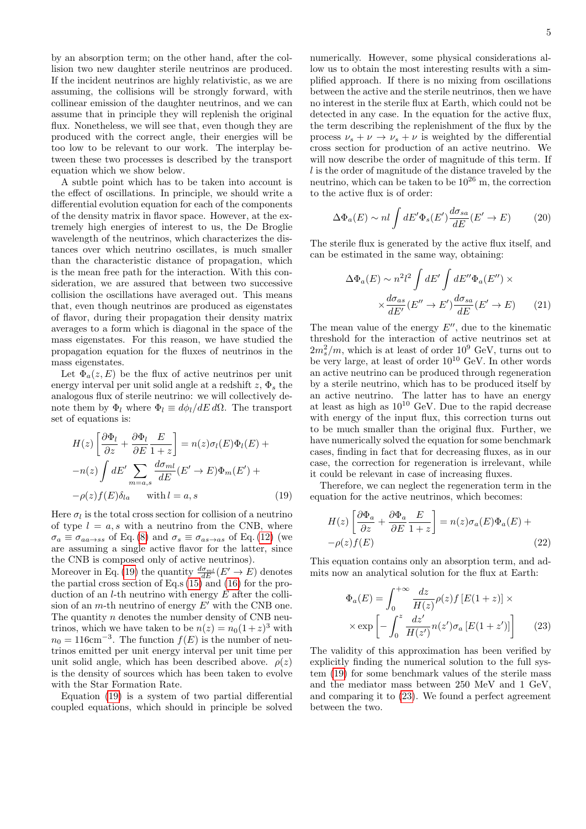by an absorption term; on the other hand, after the collision two new daughter sterile neutrinos are produced. If the incident neutrinos are highly relativistic, as we are assuming, the collisions will be strongly forward, with collinear emission of the daughter neutrinos, and we can assume that in principle they will replenish the original flux. Nonetheless, we will see that, even though they are produced with the correct angle, their energies will be too low to be relevant to our work. The interplay between these two processes is described by the transport equation which we show below.

A subtle point which has to be taken into account is the effect of oscillations. In principle, we should write a differential evolution equation for each of the components of the density matrix in flavor space. However, at the extremely high energies of interest to us, the De Broglie wavelength of the neutrinos, which characterizes the distances over which neutrino oscillates, is much smaller than the characteristic distance of propagation, which is the mean free path for the interaction. With this consideration, we are assured that between two successive collision the oscillations have averaged out. This means that, even though neutrinos are produced as eigenstates of flavor, during their propagation their density matrix averages to a form which is diagonal in the space of the mass eigenstates. For this reason, we have studied the propagation equation for the fluxes of neutrinos in the mass eigenstates.

Let  $\Phi_a(z, E)$  be the flux of active neutrinos per unit energy interval per unit solid angle at a redshift  $z, \Phi_s$  the analogous flux of sterile neutrino: we will collectively denote them by  $\Phi_l$  where  $\Phi_l \equiv d\phi_l/dE d\Omega$ . The transport set of equations is:

<span id="page-4-0"></span>
$$
H(z)\left[\frac{\partial \Phi_l}{\partial z} + \frac{\partial \Phi_l}{\partial E} \frac{E}{1+z}\right] = n(z)\sigma_l(E)\Phi_l(E) +
$$
  

$$
-n(z)\int dE' \sum_{m=a,s} \frac{d\sigma_{ml}}{dE}(E' \to E)\Phi_m(E') +
$$
  

$$
-\rho(z)f(E)\delta_{la} \text{ with } l = a, s
$$
 (19)

Here  $\sigma_l$  is the total cross section for collision of a neutrino of type  $l = a, s$  with a neutrino from the CNB, where  $\sigma_a \equiv \sigma_{aa \to ss}$  of Eq. [\(8\)](#page-3-1) and  $\sigma_s \equiv \sigma_{as \to as}$  of Eq. [\(12\)](#page-3-2) (we are assuming a single active flavor for the latter, since the CNB is composed only of active neutrinos).

Moreover in Eq. [\(19\)](#page-4-0) the quantity  $\frac{d\sigma_{ml}}{dE}(E' \to E)$  denotes the partial cross section of Eq.s [\(15\)](#page-3-3) and [\(16\)](#page-3-4) for the production of an  $l$ -th neutrino with energy  $E$  after the collision of an m-th neutrino of energy  $E'$  with the CNB one. The quantity  $n$  denotes the number density of CNB neutrinos, which we have taken to be  $n(z) = n_0(1+z)^3$  with  $n_0 = 116$ cm<sup>-3</sup>. The function  $f(E)$  is the number of neutrinos emitted per unit energy interval per unit time per unit solid angle, which has been described above.  $\rho(z)$ is the density of sources which has been taken to evolve with the Star Formation Rate.

Equation [\(19\)](#page-4-0) is a system of two partial differential coupled equations, which should in principle be solved

numerically. However, some physical considerations allow us to obtain the most interesting results with a simplified approach. If there is no mixing from oscillations between the active and the sterile neutrinos, then we have no interest in the sterile flux at Earth, which could not be detected in any case. In the equation for the active flux, the term describing the replenishment of the flux by the process  $\nu_s + \nu \rightarrow \nu_s + \nu$  is weighted by the differential cross section for production of an active neutrino. We will now describe the order of magnitude of this term. If l is the order of magnitude of the distance traveled by the neutrino, which can be taken to be  $10^{26}$  m, the correction to the active flux is of order:

$$
\Delta\Phi_a(E) \sim nl \int dE' \Phi_s(E') \frac{d\sigma_{sa}}{dE}(E' \to E)
$$
 (20)

The sterile flux is generated by the active flux itself, and can be estimated in the same way, obtaining:

$$
\Delta\Phi_a(E) \sim n^2 l^2 \int dE' \int dE'' \Phi_a(E'') \times
$$

$$
\times \frac{d\sigma_{as}}{dE'} (E'' \to E') \frac{d\sigma_{sa}}{dE} (E' \to E) \tag{21}
$$

The mean value of the energy  $E''$ , due to the kinematic threshold for the interaction of active neutrinos set at  $2m_s^2/m$ , which is at least of order  $10^9$  GeV, turns out to be very large, at least of order  $10^{10}$  GeV. In other words an active neutrino can be produced through regeneration by a sterile neutrino, which has to be produced itself by an active neutrino. The latter has to have an energy at least as high as  $10^{10}$  GeV. Due to the rapid decrease with energy of the input flux, this correction turns out to be much smaller than the original flux. Further, we have numerically solved the equation for some benchmark cases, finding in fact that for decreasing fluxes, as in our case, the correction for regeneration is irrelevant, while it could be relevant in case of increasing fluxes.

Therefore, we can neglect the regeneration term in the equation for the active neutrinos, which becomes:

$$
H(z)\left[\frac{\partial \Phi_a}{\partial z} + \frac{\partial \Phi_a}{\partial E} \frac{E}{1+z}\right] = n(z)\sigma_a(E)\Phi_a(E) +
$$
  
- $\rho(z)f(E)$  (22)

This equation contains only an absorption term, and admits now an analytical solution for the flux at Earth:

<span id="page-4-1"></span>
$$
\Phi_a(E) = \int_0^{+\infty} \frac{dz}{H(z)} \rho(z) f\left[E(1+z)\right] \times
$$

$$
\times \exp\left[-\int_0^z \frac{dz'}{H(z')} n(z') \sigma_a \left[E(1+z')\right]\right] \qquad (23)
$$

The validity of this approximation has been verified by explicitly finding the numerical solution to the full system [\(19\)](#page-4-0) for some benchmark values of the sterile mass and the mediator mass between 250 MeV and 1 GeV, and comparing it to [\(23\)](#page-4-1). We found a perfect agreement between the two.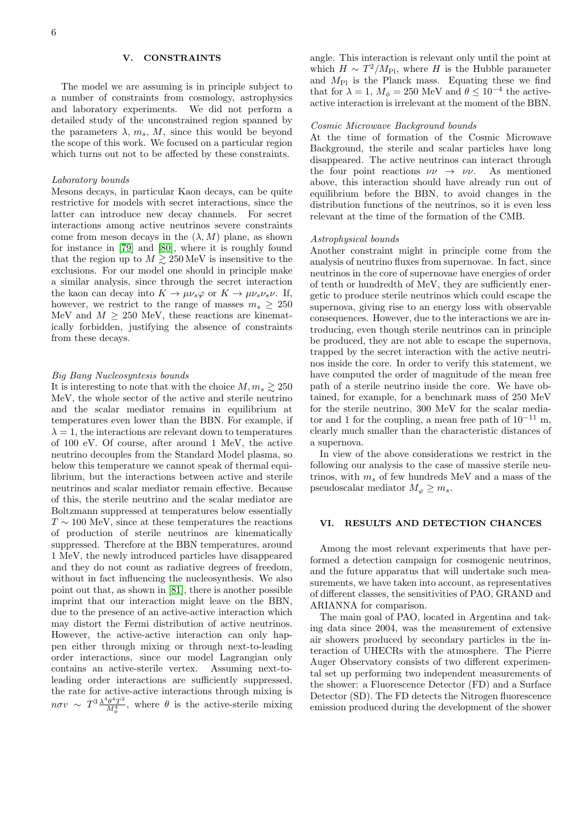# V. CONSTRAINTS

The model we are assuming is in principle subject to a number of constraints from cosmology, astrophysics and laboratory experiments. We did not perform a detailed study of the unconstrained region spanned by the parameters  $\lambda$ ,  $m_s$ ,  $M$ , since this would be beyond the scope of this work. We focused on a particular region which turns out not to be affected by these constraints.

#### Laboratory bounds

Mesons decays, in particular Kaon decays, can be quite restrictive for models with secret interactions, since the latter can introduce new decay channels. For secret interactions among active neutrinos severe constraints come from meson decays in the  $(\lambda, M)$  plane, as shown for instance in [\[79\]](#page-9-8) and [\[80\]](#page-9-9), where it is roughly found that the region up to  $M \gtrsim 250 \,\text{MeV}$  is insensitive to the exclusions. For our model one should in principle make a similar analysis, since through the secret interaction the kaon can decay into  $K \to \mu \nu_s \varphi$  or  $K \to \mu \nu_s \nu_s \nu$ . If, however, we restrict to the range of masses  $m_s \geq 250$ MeV and  $M \geq 250$  MeV, these reactions are kinematically forbidden, justifying the absence of constraints from these decays.

#### Big Bang Nucleosyntesis bounds

It is interesting to note that with the choice  $M, m_s \gtrsim 250$ MeV, the whole sector of the active and sterile neutrino and the scalar mediator remains in equilibrium at temperatures even lower than the BBN. For example, if  $\lambda = 1$ , the interactions are relevant down to temperatures of 100 eV. Of course, after around 1 MeV, the active neutrino decouples from the Standard Model plasma, so below this temperature we cannot speak of thermal equilibrium, but the interactions between active and sterile neutrinos and scalar mediator remain effective. Because of this, the sterile neutrino and the scalar mediator are Boltzmann suppressed at temperatures below essentially  $T \sim 100$  MeV, since at these temperatures the reactions of production of sterile neutrinos are kinematically suppressed. Therefore at the BBN temperatures, around 1 MeV, the newly introduced particles have disappeared and they do not count as radiative degrees of freedom, without in fact influencing the nucleosynthesis. We also point out that, as shown in [\[81\]](#page-9-10), there is another possible imprint that our interaction might leave on the BBN, due to the presence of an active-active interaction which may distort the Fermi distribution of active neutrinos. However, the active-active interaction can only happen either through mixing or through next-to-leading order interactions, since our model Lagrangian only contains an active-sterile vertex. Assuming next-toleading order interactions are sufficiently suppressed, the rate for active-active interactions through mixing is  $n \sigma v \ \sim \ T^3 \frac{\lambda^4 \theta^4 T^2}{M^4}$  $\frac{\theta^4 T^2}{M_\phi^4}$ , where  $\theta$  is the active-sterile mixing

angle. This interaction is relevant only until the point at which  $H \sim T^2/M_{\rm Pl}$ , where H is the Hubble parameter and  $M_{\text{Pl}}$  is the Planck mass. Equating these we find that for  $\lambda = 1$ ,  $M_{\phi} = 250$  MeV and  $\theta \leq 10^{-4}$  the activeactive interaction is irrelevant at the moment of the BBN.

#### Cosmic Microwave Background bounds

At the time of formation of the Cosmic Microwave Background, the sterile and scalar particles have long disappeared. The active neutrinos can interact through the four point reactions  $\nu\nu \rightarrow \nu\nu$ . As mentioned above, this interaction should have already run out of equilibrium before the BBN, to avoid changes in the distribution functions of the neutrinos, so it is even less relevant at the time of the formation of the CMB.

#### Astrophysical bounds

Another constraint might in principle come from the analysis of neutrino fluxes from supernovae. In fact, since neutrinos in the core of supernovae have energies of order of tenth or hundredth of MeV, they are sufficiently energetic to produce sterile neutrinos which could escape the supernova, giving rise to an energy loss with observable consequences. However, due to the interactions we are introducing, even though sterile neutrinos can in principle be produced, they are not able to escape the supernova, trapped by the secret interaction with the active neutrinos inside the core. In order to verify this statement, we have computed the order of magnitude of the mean free path of a sterile neutrino inside the core. We have obtained, for example, for a benchmark mass of 250 MeV for the sterile neutrino, 300 MeV for the scalar mediator and 1 for the coupling, a mean free path of  $10^{-11}$  m, clearly much smaller than the characteristic distances of a supernova.

In view of the above considerations we restrict in the following our analysis to the case of massive sterile neutrinos, with  $m_s$  of few hundreds MeV and a mass of the pseudoscalar mediator  $M_{\varphi} \geq m_s$ .

# VI. RESULTS AND DETECTION CHANCES

Among the most relevant experiments that have performed a detection campaign for cosmogenic neutrinos, and the future apparatus that will undertake such measurements, we have taken into account, as representatives of different classes, the sensitivities of PAO, GRAND and ARIANNA for comparison.

The main goal of PAO, located in Argentina and taking data since 2004, was the measurement of extensive air showers produced by secondary particles in the interaction of UHECRs with the atmosphere. The Pierre Auger Observatory consists of two different experimental set up performing two independent measurements of the shower: a Fluorescence Detector (FD) and a Surface Detector (SD). The FD detects the Nitrogen fluorescence emission produced during the development of the shower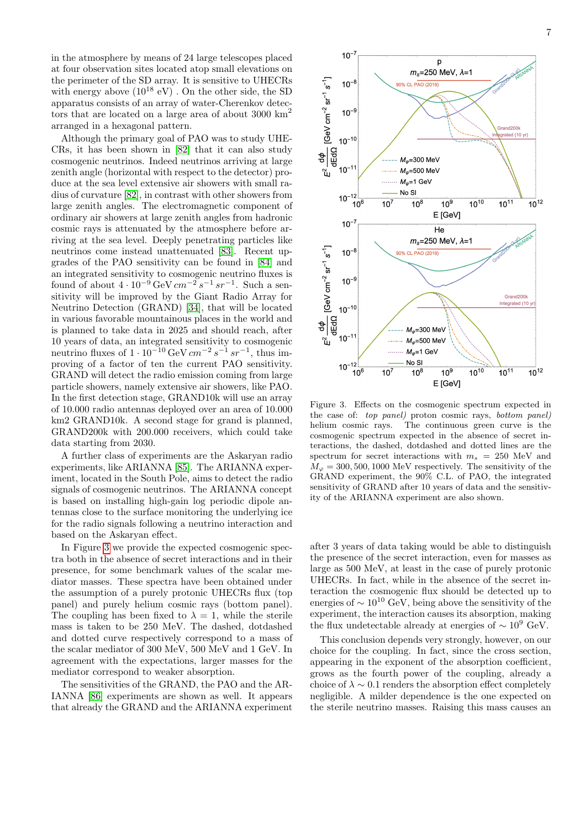in the atmosphere by means of 24 large telescopes placed at four observation sites located atop small elevations on the perimeter of the SD array. It is sensitive to UHECRs with energy above  $(10^{18} \text{ eV})$ . On the other side, the SD apparatus consists of an array of water-Cherenkov detectors that are located on a large area of about 3000  $\mathrm{km}^2$ arranged in a hexagonal pattern.

Although the primary goal of PAO was to study UHE-CRs, it has been shown in [\[82\]](#page-9-11) that it can also study cosmogenic neutrinos. Indeed neutrinos arriving at large zenith angle (horizontal with respect to the detector) produce at the sea level extensive air showers with small radius of curvature [\[82\]](#page-9-11), in contrast with other showers from large zenith angles. The electromagnetic component of ordinary air showers at large zenith angles from hadronic cosmic rays is attenuated by the atmosphere before arriving at the sea level. Deeply penetrating particles like neutrinos come instead unattenuated [\[83\]](#page-9-12). Recent upgrades of the PAO sensitivity can be found in [\[84\]](#page-9-13) and an integrated sensitivity to cosmogenic neutrino fluxes is found of about  $4 \cdot 10^{-9}$  GeV  $cm^{-2}$   $s^{-1}$   $sr^{-1}$ . Such a sensitivity will be improved by the Giant Radio Array for Neutrino Detection (GRAND) [\[34\]](#page-8-4), that will be located in various favorable mountainous places in the world and is planned to take data in 2025 and should reach, after 10 years of data, an integrated sensitivity to cosmogenic neutrino fluxes of  $1 \cdot 10^{-10}$  GeV  $cm^{-2}$   $s^{-1}$   $sr^{-1}$ , thus improving of a factor of ten the current PAO sensitivity. GRAND will detect the radio emission coming from large particle showers, namely extensive air showers, like PAO. In the first detection stage, GRAND10k will use an array of 10.000 radio antennas deployed over an area of 10.000 km2 GRAND10k. A second stage for grand is planned, GRAND200k with 200.000 receivers, which could take data starting from 2030.

A further class of experiments are the Askaryan radio experiments, like ARIANNA [\[85\]](#page-9-14). The ARIANNA experiment, located in the South Pole, aims to detect the radio signals of cosmogenic neutrinos. The ARIANNA concept is based on installing high-gain log periodic dipole antennas close to the surface monitoring the underlying ice for the radio signals following a neutrino interaction and based on the Askaryan effect.

In Figure [3](#page-6-0) we provide the expected cosmogenic spectra both in the absence of secret interactions and in their presence, for some benchmark values of the scalar mediator masses. These spectra have been obtained under the assumption of a purely protonic UHECRs flux (top panel) and purely helium cosmic rays (bottom panel). The coupling has been fixed to  $\lambda = 1$ , while the sterile mass is taken to be 250 MeV. The dashed, dotdashed and dotted curve respectively correspond to a mass of the scalar mediator of 300 MeV, 500 MeV and 1 GeV. In agreement with the expectations, larger masses for the mediator correspond to weaker absorption.

The sensitivities of the GRAND, the PAO and the AR-IANNA [\[86\]](#page-9-15) experiments are shown as well. It appears that already the GRAND and the ARIANNA experiment



<span id="page-6-0"></span>Figure 3. Effects on the cosmogenic spectrum expected in the case of: top panel) proton cosmic rays, bottom panel) helium cosmic rays. The continuous green curve is the cosmogenic spectrum expected in the absence of secret interactions, the dashed, dotdashed and dotted lines are the spectrum for secret interactions with  $m_s = 250$  MeV and  $M_{\varphi} = 300, 500, 1000$  MeV respectively. The sensitivity of the GRAND experiment, the 90% C.L. of PAO, the integrated sensitivity of GRAND after 10 years of data and the sensitivity of the ARIANNA experiment are also shown.

after 3 years of data taking would be able to distinguish the presence of the secret interaction, even for masses as large as 500 MeV, at least in the case of purely protonic UHECRs. In fact, while in the absence of the secret interaction the cosmogenic flux should be detected up to energies of  $\sim 10^{10}$  GeV, being above the sensitivity of the experiment, the interaction causes its absorption, making the flux undetectable already at energies of  $\sim 10^9$  GeV.

This conclusion depends very strongly, however, on our choice for the coupling. In fact, since the cross section, appearing in the exponent of the absorption coefficient, grows as the fourth power of the coupling, already a choice of  $\lambda \sim 0.1$  renders the absorption effect completely negligible. A milder dependence is the one expected on the sterile neutrino masses. Raising this mass causes an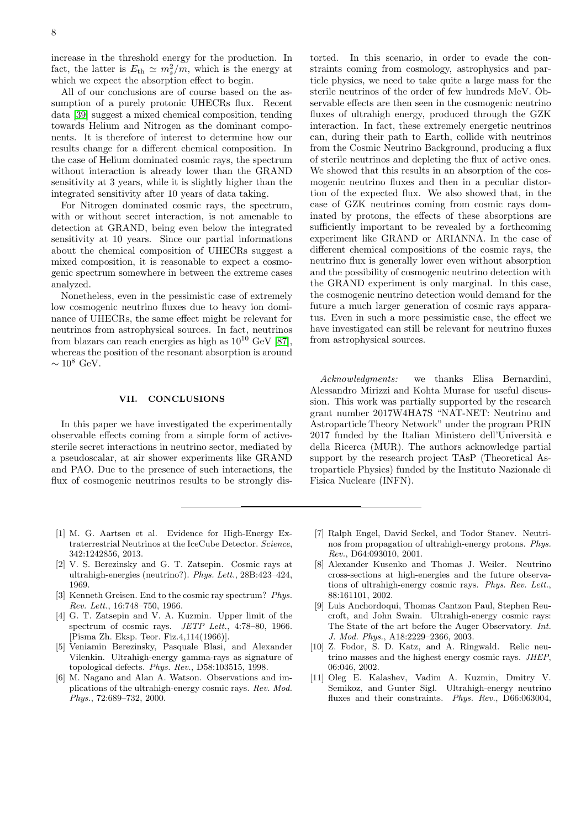increase in the threshold energy for the production. In fact, the latter is  $E_{\text{th}} \simeq m_s^2/m$ , which is the energy at which we expect the absorption effect to begin.

All of our conclusions are of course based on the assumption of a purely protonic UHECRs flux. Recent data [\[39\]](#page-8-9) suggest a mixed chemical composition, tending towards Helium and Nitrogen as the dominant components. It is therefore of interest to determine how our results change for a different chemical composition. In the case of Helium dominated cosmic rays, the spectrum without interaction is already lower than the GRAND sensitivity at 3 years, while it is slightly higher than the integrated sensitivity after 10 years of data taking.

For Nitrogen dominated cosmic rays, the spectrum, with or without secret interaction, is not amenable to detection at GRAND, being even below the integrated sensitivity at 10 years. Since our partial informations about the chemical composition of UHECRs suggest a mixed composition, it is reasonable to expect a cosmogenic spectrum somewhere in between the extreme cases analyzed.

Nonetheless, even in the pessimistic case of extremely low cosmogenic neutrino fluxes due to heavy ion dominance of UHECRs, the same effect might be relevant for neutrinos from astrophysical sources. In fact, neutrinos from blazars can reach energies as high as  $10^{10}$  GeV [\[87\]](#page-9-16), whereas the position of the resonant absorption is around  $\sim 10^8$  GeV.

# VII. CONCLUSIONS

In this paper we have investigated the experimentally observable effects coming from a simple form of activesterile secret interactions in neutrino sector, mediated by a pseudoscalar, at air shower experiments like GRAND and PAO. Due to the presence of such interactions, the flux of cosmogenic neutrinos results to be strongly dis-

torted. In this scenario, in order to evade the constraints coming from cosmology, astrophysics and particle physics, we need to take quite a large mass for the sterile neutrinos of the order of few hundreds MeV. Observable effects are then seen in the cosmogenic neutrino fluxes of ultrahigh energy, produced through the GZK interaction. In fact, these extremely energetic neutrinos can, during their path to Earth, collide with neutrinos from the Cosmic Neutrino Background, producing a flux of sterile neutrinos and depleting the flux of active ones. We showed that this results in an absorption of the cosmogenic neutrino fluxes and then in a peculiar distortion of the expected flux. We also showed that, in the case of GZK neutrinos coming from cosmic rays dominated by protons, the effects of these absorptions are sufficiently important to be revealed by a forthcoming experiment like GRAND or ARIANNA. In the case of different chemical compositions of the cosmic rays, the neutrino flux is generally lower even without absorption and the possibility of cosmogenic neutrino detection with the GRAND experiment is only marginal. In this case, the cosmogenic neutrino detection would demand for the future a much larger generation of cosmic rays apparatus. Even in such a more pessimistic case, the effect we have investigated can still be relevant for neutrino fluxes from astrophysical sources.

Acknowledgments: we thanks Elisa Bernardini, Alessandro Mirizzi and Kohta Murase for useful discussion. This work was partially supported by the research grant number 2017W4HA7S "NAT-NET: Neutrino and Astroparticle Theory Network" under the program PRIN  $2017$  funded by the Italian Ministero dell'Università e della Ricerca (MUR). The authors acknowledge partial support by the research project TAsP (Theoretical Astroparticle Physics) funded by the Instituto Nazionale di Fisica Nucleare (INFN).

- <span id="page-7-0"></span>[1] M. G. Aartsen et al. Evidence for High-Energy Extraterrestrial Neutrinos at the IceCube Detector. Science, 342:1242856, 2013.
- <span id="page-7-1"></span>[2] V. S. Berezinsky and G. T. Zatsepin. Cosmic rays at ultrahigh-energies (neutrino?). Phys. Lett., 28B:423–424, 1969.
- <span id="page-7-2"></span>[3] Kenneth Greisen. End to the cosmic ray spectrum? Phys. Rev. Lett., 16:748–750, 1966.
- <span id="page-7-3"></span>[4] G. T. Zatsepin and V. A. Kuzmin. Upper limit of the spectrum of cosmic rays. JETP Lett., 4:78-80, 1966. [Pisma Zh. Eksp. Teor. Fiz.4,114(1966)].
- <span id="page-7-4"></span>[5] Veniamin Berezinsky, Pasquale Blasi, and Alexander Vilenkin. Ultrahigh-energy gamma-rays as signature of topological defects. Phys. Rev., D58:103515, 1998.
- [6] M. Nagano and Alan A. Watson. Observations and implications of the ultrahigh-energy cosmic rays. Rev. Mod. Phys., 72:689–732, 2000.
- [7] Ralph Engel, David Seckel, and Todor Stanev. Neutrinos from propagation of ultrahigh-energy protons. Phys. Rev., D64:093010, 2001.
- [8] Alexander Kusenko and Thomas J. Weiler. Neutrino cross-sections at high-energies and the future observations of ultrahigh-energy cosmic rays. Phys. Rev. Lett., 88:161101, 2002.
- [9] Luis Anchordoqui, Thomas Cantzon Paul, Stephen Reucroft, and John Swain. Ultrahigh-energy cosmic rays: The State of the art before the Auger Observatory. Int. J. Mod. Phys., A18:2229–2366, 2003.
- [10] Z. Fodor, S. D. Katz, and A. Ringwald. Relic neutrino masses and the highest energy cosmic rays. JHEP, 06:046, 2002.
- [11] Oleg E. Kalashev, Vadim A. Kuzmin, Dmitry V. Semikoz, and Gunter Sigl. Ultrahigh-energy neutrino fluxes and their constraints. Phys. Rev., D66:063004,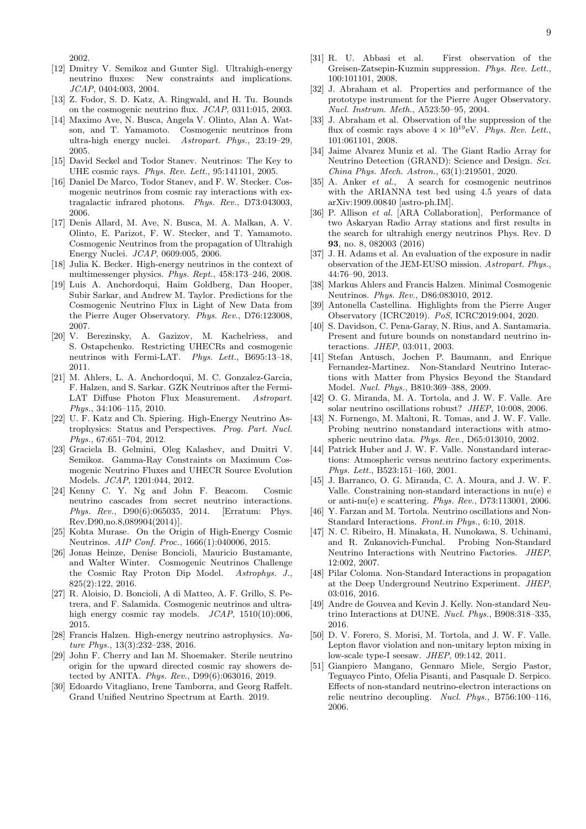2002.

- [12] Dmitry V. Semikoz and Gunter Sigl. Ultrahigh-energy neutrino fluxes: New constraints and implications. JCAP, 0404:003, 2004.
- [13] Z. Fodor, S. D. Katz, A. Ringwald, and H. Tu. Bounds on the cosmogenic neutrino flux. JCAP, 0311:015, 2003.
- [14] Maximo Ave, N. Busca, Angela V. Olinto, Alan A. Watson, and T. Yamamoto. Cosmogenic neutrinos from ultra-high energy nuclei. Astropart. Phys., 23:19–29, 2005.
- [15] David Seckel and Todor Stanev. Neutrinos: The Key to UHE cosmic rays. Phys. Rev. Lett., 95:141101, 2005.
- [16] Daniel De Marco, Todor Stanev, and F. W. Stecker. Cosmogenic neutrinos from cosmic ray interactions with extragalactic infrared photons. Phys. Rev., D73:043003, 2006.
- [17] Denis Allard, M. Ave, N. Busca, M. A. Malkan, A. V. Olinto, E. Parizot, F. W. Stecker, and T. Yamamoto. Cosmogenic Neutrinos from the propagation of Ultrahigh Energy Nuclei. JCAP, 0609:005, 2006.
- [18] Julia K. Becker. High-energy neutrinos in the context of multimessenger physics. Phys. Rept., 458:173–246, 2008.
- [19] Luis A. Anchordoqui, Haim Goldberg, Dan Hooper, Subir Sarkar, and Andrew M. Taylor. Predictions for the Cosmogenic Neutrino Flux in Light of New Data from the Pierre Auger Observatory. Phys. Rev., D76:123008, 2007.
- [20] V. Berezinsky, A. Gazizov, M. Kachelriess, and S. Ostapchenko. Restricting UHECRs and cosmogenic neutrinos with Fermi-LAT. Phys. Lett., B695:13–18, 2011.
- [21] M. Ahlers, L. A. Anchordoqui, M. C. Gonzalez-Garcia, F. Halzen, and S. Sarkar. GZK Neutrinos after the Fermi-LAT Diffuse Photon Flux Measurement. Astropart. Phys., 34:106–115, 2010.
- [22] U. F. Katz and Ch. Spiering. High-Energy Neutrino Astrophysics: Status and Perspectives. Prog. Part. Nucl. Phys., 67:651–704, 2012.
- [23] Graciela B. Gelmini, Oleg Kalashev, and Dmitri V. Semikoz. Gamma-Ray Constraints on Maximum Cosmogenic Neutrino Fluxes and UHECR Source Evolution Models. JCAP, 1201:044, 2012.
- <span id="page-8-12"></span>[24] Kenny C. Y. Ng and John F. Beacom. Cosmic neutrino cascades from secret neutrino interactions. Phys. Rev., D90(6):065035, 2014. [Erratum: Phys. Rev.D90,no.8,089904(2014)].
- [25] Kohta Murase. On the Origin of High-Energy Cosmic Neutrinos. AIP Conf. Proc., 1666(1):040006, 2015.
- [26] Jonas Heinze, Denise Boncioli, Mauricio Bustamante, and Walter Winter. Cosmogenic Neutrinos Challenge the Cosmic Ray Proton Dip Model. Astrophys. J., 825(2):122, 2016.
- [27] R. Aloisio, D. Boncioli, A di Matteo, A. F. Grillo, S. Petrera, and F. Salamida. Cosmogenic neutrinos and ultrahigh energy cosmic ray models.  $JCAP$ , 1510(10):006, 2015.
- [28] Francis Halzen. High-energy neutrino astrophysics. Nature Phys., 13(3):232–238, 2016.
- [29] John F. Cherry and Ian M. Shoemaker. Sterile neutrino origin for the upward directed cosmic ray showers detected by ANITA. Phys. Rev., D99(6):063016, 2019.
- <span id="page-8-0"></span>[30] Edoardo Vitagliano, Irene Tamborra, and Georg Raffelt. Grand Unified Neutrino Spectrum at Earth. 2019.
- <span id="page-8-1"></span>[31] R. U. Abbasi et al. First observation of the Greisen-Zatsepin-Kuzmin suppression. Phys. Rev. Lett., 100:101101, 2008.
- <span id="page-8-2"></span>[32] J. Abraham et al. Properties and performance of the prototype instrument for the Pierre Auger Observatory. Nucl. Instrum. Meth., A523:50–95, 2004.
- <span id="page-8-3"></span>[33] J. Abraham et al. Observation of the suppression of the flux of cosmic rays above  $4 \times 10^{19}$  eV. Phys. Rev. Lett., 101:061101, 2008.
- <span id="page-8-4"></span>[34] Jaime Alvarez Muniz et al. The Giant Radio Array for Neutrino Detection (GRAND): Science and Design. Sci. China Phys. Mech. Astron., 63(1):219501, 2020.
- <span id="page-8-5"></span>[35] A. Anker et al., A search for cosmogenic neutrinos with the ARIANNA test bed using 4.5 years of data arXiv:1909.00840 [astro-ph.IM].
- <span id="page-8-6"></span>[36] P. Allison *et al.* [ARA Collaboration], Performance of two Askaryan Radio Array stations and first results in the search for ultrahigh energy neutrinos Phys. Rev. D 93, no. 8, 082003 (2016)
- <span id="page-8-7"></span>[37] J. H. Adams et al. An evaluation of the exposure in nadir observation of the JEM-EUSO mission. Astropart. Phys., 44:76–90, 2013.
- <span id="page-8-8"></span>[38] Markus Ahlers and Francis Halzen. Minimal Cosmogenic Neutrinos. Phys. Rev., D86:083010, 2012.
- <span id="page-8-9"></span>[39] Antonella Castellina. Highlights from the Pierre Auger Observatory (ICRC2019). PoS, ICRC2019:004, 2020.
- <span id="page-8-10"></span>[40] S. Davidson, C. Pena-Garay, N. Rius, and A. Santamaria. Present and future bounds on nonstandard neutrino interactions. JHEP, 03:011, 2003.
- [41] Stefan Antusch, Jochen P. Baumann, and Enrique Fernandez-Martinez. Non-Standard Neutrino Interactions with Matter from Physics Beyond the Standard Model. Nucl. Phys., B810:369–388, 2009.
- [42] O. G. Miranda, M. A. Tortola, and J. W. F. Valle. Are solar neutrino oscillations robust? JHEP, 10:008, 2006.
- [43] N. Fornengo, M. Maltoni, R. Tomas, and J. W. F. Valle. Probing neutrino nonstandard interactions with atmospheric neutrino data. Phys. Rev., D65:013010, 2002.
- [44] Patrick Huber and J. W. F. Valle. Nonstandard interactions: Atmospheric versus neutrino factory experiments. Phys. Lett., B523:151–160, 2001.
- [45] J. Barranco, O. G. Miranda, C. A. Moura, and J. W. F. Valle. Constraining non-standard interactions in nu(e) e or anti-nu(e) e scattering. Phys. Rev., D73:113001, 2006.
- [46] Y. Farzan and M. Tortola. Neutrino oscillations and Non-Standard Interactions. Front.in Phys., 6:10, 2018.
- [47] N. C. Ribeiro, H. Minakata, H. Nunokawa, S. Uchinami, and R. Zukanovich-Funchal. Probing Non-Standard Neutrino Interactions with Neutrino Factories. JHEP, 12:002, 2007.
- [48] Pilar Coloma. Non-Standard Interactions in propagation at the Deep Underground Neutrino Experiment. JHEP, 03:016, 2016.
- [49] Andre de Gouvea and Kevin J. Kelly. Non-standard Neutrino Interactions at DUNE. Nucl. Phys., B908:318–335, 2016.
- [50] D. V. Forero, S. Morisi, M. Tortola, and J. W. F. Valle. Lepton flavor violation and non-unitary lepton mixing in low-scale type-I seesaw. JHEP, 09:142, 2011.
- <span id="page-8-11"></span>[51] Gianpiero Mangano, Gennaro Miele, Sergio Pastor, Teguayco Pinto, Ofelia Pisanti, and Pasquale D. Serpico. Effects of non-standard neutrino-electron interactions on relic neutrino decoupling. Nucl. Phys., B756:100–116, 2006.